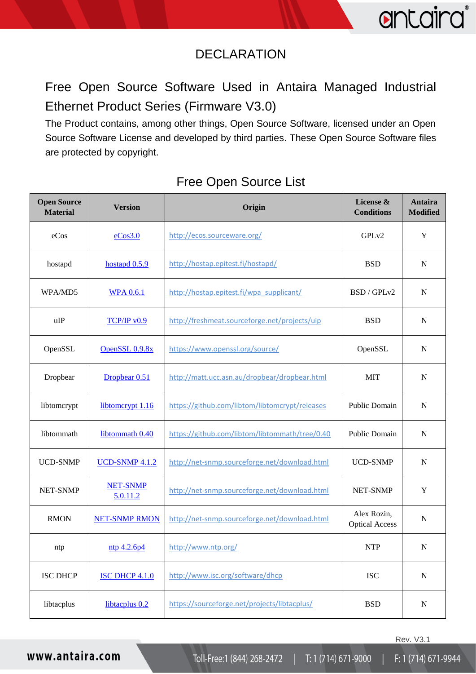## DECLARATION

Free Open Source Software Used in Antaira Managed Industrial Ethernet Product Series (Firmware V3.0)

The Product contains, among other things, Open Source Software, licensed under an Open Source Software License and developed by third parties. These Open Source Software files are protected by copyright.

| <b>Open Source</b><br><b>Material</b> | <b>Version</b>              | Origin                                         | License &<br><b>Conditions</b>       | Antaira<br><b>Modified</b> |
|---------------------------------------|-----------------------------|------------------------------------------------|--------------------------------------|----------------------------|
| eCos                                  | eCos3.0                     | http://ecos.sourceware.org/                    | GPLv2                                | Y                          |
| hostapd                               | hostapd $0.5.9$             | http://hostap.epitest.fi/hostapd/              | <b>BSD</b>                           | ${\bf N}$                  |
| WPA/MD5                               | <b>WPA 0.6.1</b>            | http://hostap.epitest.fi/wpa supplicant/       | BSD / GPLv2                          | $\mathbf N$                |
| uIP                                   | TCP/IP v0.9                 | http://freshmeat.sourceforge.net/projects/uip  | <b>BSD</b>                           | ${\bf N}$                  |
| OpenSSL                               | OpenSSL 0.9.8x              | https://www.openssl.org/source/                | OpenSSL                              | $\mathbf N$                |
| Dropbear                              | Dropbear 0.51               | http://matt.ucc.asn.au/dropbear/dropbear.html  | <b>MIT</b>                           | $\mathbf N$                |
| libtomcrypt                           | libtomcrypt 1.16            | https://github.com/libtom/libtomcrypt/releases | <b>Public Domain</b>                 | ${\bf N}$                  |
| libtommath                            | libtommath 0.40             | https://github.com/libtom/libtommath/tree/0.40 | Public Domain                        | ${\bf N}$                  |
| <b>UCD-SNMP</b>                       | <b>UCD-SNMP 4.1.2</b>       | http://net-snmp.sourceforge.net/download.html  | <b>UCD-SNMP</b>                      | ${\bf N}$                  |
| <b>NET-SNMP</b>                       | <b>NET-SNMP</b><br>5.0.11.2 | http://net-snmp.sourceforge.net/download.html  | <b>NET-SNMP</b>                      | $\mathbf Y$                |
| <b>RMON</b>                           | <b>NET-SNMP RMON</b>        | http://net-snmp.sourceforge.net/download.html  | Alex Rozin,<br><b>Optical Access</b> | ${\bf N}$                  |
| ntp                                   | ntp 4.2.6p4                 | http://www.ntp.org/                            | <b>NTP</b>                           | $\mathbf N$                |
| <b>ISC DHCP</b>                       | <b>ISC DHCP 4.1.0</b>       | http://www.isc.org/software/dhcp               | <b>ISC</b>                           | ${\bf N}$                  |
| libtacplus                            | libtacplus 0.2              | https://sourceforge.net/projects/libtacplus/   | <b>BSD</b>                           | ${\bf N}$                  |

Toll-Free:1 (844) 268-2472

### Free Open Source List

T: 1 (714) 671-9000

F: 1 (714) 671-9944

Rev. V3.1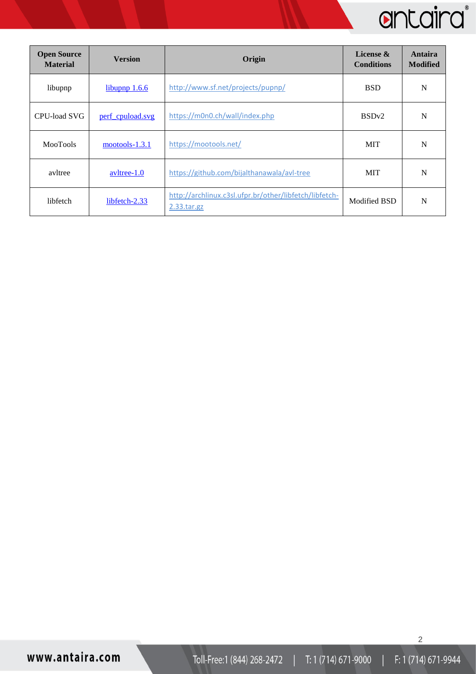| <b>Open Source</b><br><b>Material</b> | <b>Version</b>       | Origin                                                                   | License &<br><b>Conditions</b> | Antaira<br><b>Modified</b> |
|---------------------------------------|----------------------|--------------------------------------------------------------------------|--------------------------------|----------------------------|
| libupnp                               | libupnp 1.6.6        | http://www.sf.net/projects/pupnp/                                        | <b>BSD</b>                     | N                          |
| CPU-load SVG                          | perf_cpuload.svg     | https://m0n0.ch/wall/index.php                                           | BSD <sub>v2</sub>              | N                          |
| <b>MooTools</b>                       | $mootools-1.3.1$     | https://mootools.net/                                                    | <b>MIT</b>                     | N                          |
| avltree                               | $\text{avltree-1.0}$ | https://github.com/bijalthanawala/avl-tree                               | <b>MIT</b>                     | N                          |
| libfetch                              | libfetch-2.33        | http://archlinux.c3sl.ufpr.br/other/libfetch/libfetch-<br>$2.33.$ tar.gz | Modified BSD                   | N                          |

2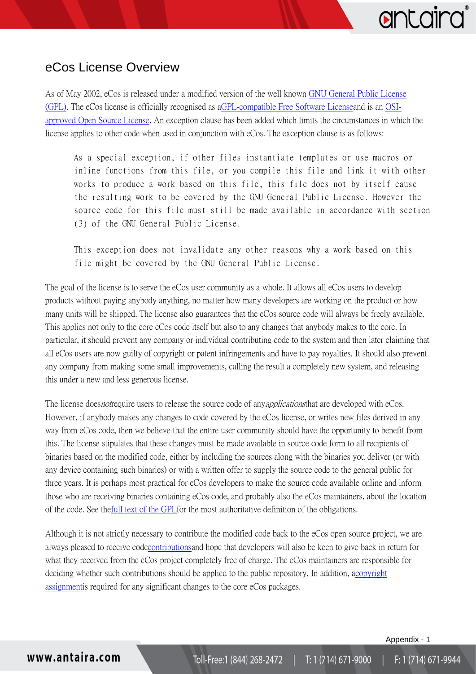# antaird

### <span id="page-2-0"></span>eCos License Overview

As of May 2002, eCos is released under a modified version of the well known [GNU General Public License](http://www.gnu.org/copyleft/gpl.html)  [\(GPL\).](http://www.gnu.org/copyleft/gpl.html) The eCos license is officially recognised as [aGPL-compatible Free Software Licensea](http://www.gnu.org/philosophy/license-list.html#GPLCompatibleLicenses)nd is an [OSI](http://opensource.org/licenses/alphabetical)[approved Open Source License.](http://opensource.org/licenses/alphabetical) An exception clause has been added which limits the circumstances in which the license applies to other code when used in conjunction with eCos. The exception clause is as follows:

As a special exception, if other files instantiate templates or use macros or inline functions from this file, or you compile this file and link it with other works to produce a work based on this file, this file does not by itself cause the resulting work to be covered by the GNU General Public License. However the source code for this file must still be made available in accordance with section (3) of the GNU General Public License.

This exception does not invalidate any other reasons why a work based on this file might be covered by the GNU General Public License.

The goal of the license is to serve the eCos user community as a whole. It allows all eCos users to develop products without paying anybody anything, no matter how many developers are working on the product or how many units will be shipped. The license also guarantees that the eCos source code will always be freely available. This applies not only to the core eCos code itself but also to any changes that anybody makes to the core. In particular, it should prevent any company or individual contributing code to the system and then later claiming that all eCos users are now guilty of copyright or patent infringements and have to pay royalties. It should also prevent any company from making some small improvements, calling the result a completely new system, and releasing this under a new and less generous license.

The license does not require users to release the source code of any *applications* that are developed with eCos. However, if anybody makes any changes to code covered by the eCos license, or writes new files derived in any way from eCos code, then we believe that the entire user community should have the opportunity to benefit from this. The license stipulates that these changes must be made available in source code form to all recipients of binaries based on the modified code, either by including the sources along with the binaries you deliver (or with any device containing such binaries) or with a written offer to supply the source code to the general public for three years. It is perhaps most practical for eCos developers to make the source code available online and inform those who are receiving binaries containing eCos code, and probably also the eCos maintainers, about the location of the code. See th[efull text of the GPLf](http://www.gnu.org/copyleft/gpl.html)or the most authoritative definition of the obligations.

Although it is not strictly necessary to contribute the modified code back to the eCos open source project, we are always pleased to receive cod[econtributionsa](http://ecos.sourceware.org/contrib.html)nd hope that developers will also be keen to give back in return for what they received from the eCos project completely free of charge. The eCos maintainers are responsible for deciding whether such contributions should be applied to the public repository. In addition, [acopyright](http://ecos.sourceware.org/assign.html)  [assignmenti](http://ecos.sourceware.org/assign.html)s required for any significant changes to the core eCos packages.

Appendix - 1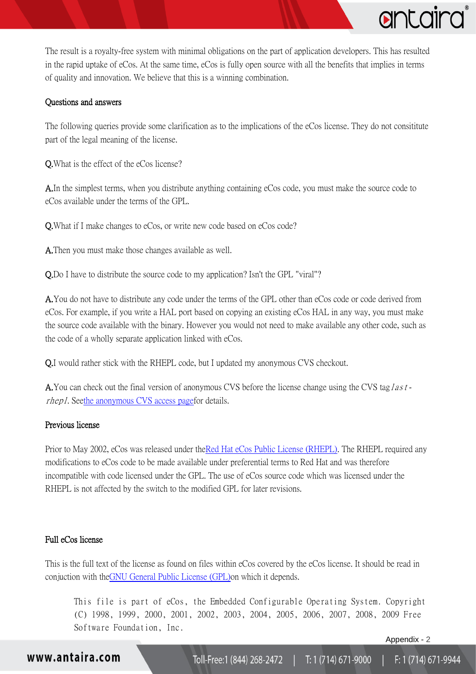

The result is a royalty-free system with minimal obligations on the part of application developers. This has resulted in the rapid uptake of eCos. At the same time, eCos is fully open source with all the benefits that implies in terms of quality and innovation. We believe that this is a winning combination.

#### Questions and answers

The following queries provide some clarification as to the implications of the eCos license. They do not consititute part of the legal meaning of the license.

Q.What is the effect of the eCos license?

A.In the simplest terms, when you distribute anything containing eCos code, you must make the source code to eCos available under the terms of the GPL.

Q.What if I make changes to eCos, or write new code based on eCos code?

A.Then you must make those changes available as well.

Q.Do I have to distribute the source code to my application? Isn't the GPL "viral"?

A.You do not have to distribute any code under the terms of the GPL other than eCos code or code derived from eCos. For example, if you write a HAL port based on copying an existing eCos HAL in any way, you must make the source code available with the binary. However you would not need to make available any other code, such as the code of a wholly separate application linked with eCos.

Q.I would rather stick with the RHEPL code, but I updated my anonymous CVS checkout.

A.You can check out the final version of anonymous CVS before the license change using the CVS taglastrhepl. Se[ethe anonymous CVS access pagef](http://ecos.sourceware.org/anoncvs.html)or details.

#### Previous license

Prior to May 2002, eCos was released under th[eRed Hat eCos Public License \(RHEPL\).](http://ecos.sourceware.org/old-license.html) The RHEPL required any modifications to eCos code to be made available under preferential terms to Red Hat and was therefore incompatible with code licensed under the GPL. The use of eCos source code which was licensed under the RHEPL is not affected by the switch to the modified GPL for later revisions.

#### Full eCos license

This is the full text of the license as found on files within eCos covered by the eCos license. It should be read in conjuction with th[eGNU General Public License \(GPL\)o](http://www.gnu.org/copyleft/gpl.html)n which it depends.

This file is part of eCos, the Embedded Configurable Operating System. Copyright (C) 1998, 1999, 2000, 2001, 2002, 2003, 2004, 2005, 2006, 2007, 2008, 2009 Free Software Foundation, Inc.

Appendix - 2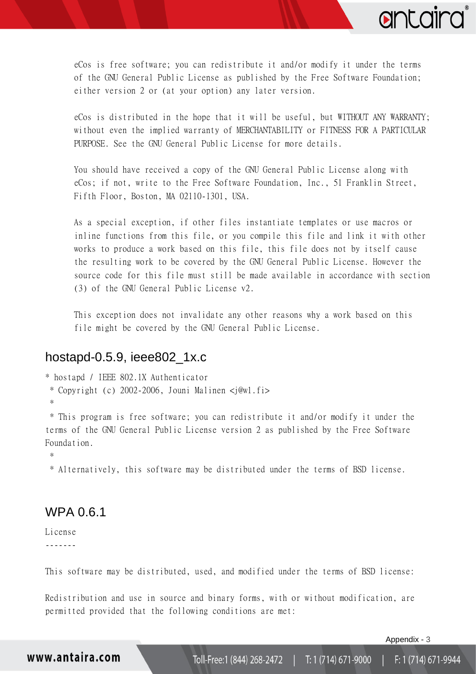

eCos is free software; you can redistribute it and/or modify it under the terms of the GNU General Public License as published by the Free Software Foundation; either version 2 or (at your option) any later version.

eCos is distributed in the hope that it will be useful, but WITHOUT ANY WARRANTY; without even the implied warranty of MERCHANTABILITY or FITNESS FOR A PARTICULAR PURPOSE. See the GNU General Public License for more details.

You should have received a copy of the GNU General Public License along with eCos; if not, write to the Free Software Foundation, Inc., 51 Franklin Street, Fifth Floor, Boston, MA 02110-1301, USA.

As a special exception, if other files instantiate templates or use macros or inline functions from this file, or you compile this file and link it with other works to produce a work based on this file, this file does not by itself cause the resulting work to be covered by the GNU General Public License. However the source code for this file must still be made available in accordance with section (3) of the GNU General Public License v2.

This exception does not invalidate any other reasons why a work based on this file might be covered by the GNU General Public License.

#### <span id="page-4-0"></span>[hostapd-0.5.9,](http://hostapd.sourcearchive.com/documentation/0.5.9/dir_f9197f075e518cc98696a88e05fd7bbc.html) ieee802\_1x.c

\* hostapd / IEEE 802.1X Authenticator \* Copyright (c) 2002-2006, Jouni Malinen <j@w1.fi> \*

\* This program is free software; you can redistribute it and/or modify it under the terms of the GNU General Public License version 2 as published by the Free Software Foundation.

\*

\* Alternatively, this software may be distributed under the terms of BSD license.

### <span id="page-4-1"></span>WPA 0.6.1

License -------

This software may be distributed, used, and modified under the terms of BSD license:

Redistribution and use in source and binary forms, with or without modification, are permitted provided that the following conditions are met:

Appendix - 3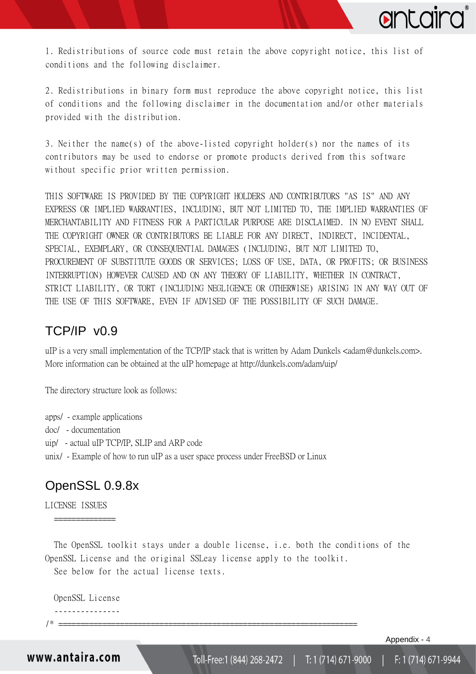

1. Redistributions of source code must retain the above copyright notice, this list of conditions and the following disclaimer.

2. Redistributions in binary form must reproduce the above copyright notice, this list of conditions and the following disclaimer in the documentation and/or other materials provided with the distribution.

3. Neither the name(s) of the above-listed copyright holder(s) nor the names of its contributors may be used to endorse or promote products derived from this software without specific prior written permission.

THIS SOFTWARE IS PROVIDED BY THE COPYRIGHT HOLDERS AND CONTRIBUTORS "AS IS" AND ANY EXPRESS OR IMPLIED WARRANTIES, INCLUDING, BUT NOT LIMITED TO, THE IMPLIED WARRANTIES OF MERCHANTABILITY AND FITNESS FOR A PARTICULAR PURPOSE ARE DISCLAIMED. IN NO EVENT SHALL THE COPYRIGHT OWNER OR CONTRIBUTORS BE LIABLE FOR ANY DIRECT, INDIRECT, INCIDENTAL, SPECIAL, EXEMPLARY, OR CONSEQUENTIAL DAMAGES (INCLUDING, BUT NOT LIMITED TO, PROCUREMENT OF SUBSTITUTE GOODS OR SERVICES; LOSS OF USE, DATA, OR PROFITS; OR BUSINESS INTERRUPTION) HOWEVER CAUSED AND ON ANY THEORY OF LIABILITY, WHETHER IN CONTRACT, STRICT LIABILITY, OR TORT (INCLUDING NEGLIGENCE OR OTHERWISE) ARISING IN ANY WAY OUT OF THE USE OF THIS SOFTWARE, EVEN IF ADVISED OF THE POSSIBILITY OF SUCH DAMAGE.

### <span id="page-5-0"></span>TCP/IP v0.9

uIP is a very small implementation of the TCP/IP stack that is written by Adam Dunkels <adam@dunkels.com>. More information can be obtained at the uIP homepage at http://dunkels.com/adam/uip/

The directory structure look as follows:

apps/ - example applications

- doc/ documentation
- uip/ actual uIP TCP/IP, SLIP and ARP code
- <span id="page-5-1"></span>unix/ - Example of how to run uIP as a user space process under FreeBSD or Linux

### OpenSSL 0.9.8x

==============

LICENSE ISSUES

 The OpenSSL toolkit stays under a double license, i.e. both the conditions of the OpenSSL License and the original SSLeay license apply to the toolkit.

See below for the actual license texts.

 OpenSSL License ---------------

/\* ====================================================================

Appendix - 4

www.antaira.com

F: 1 (714) 671-9944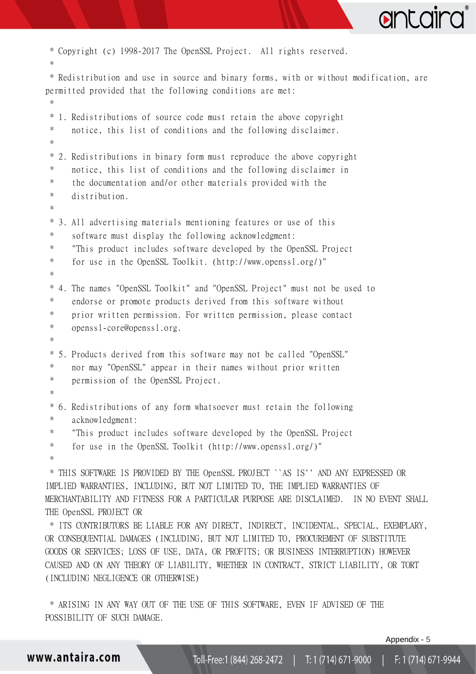

```
* Copyright (c) 1998-2017 The OpenSSL Project. All rights reserved.
 *
 * Redistribution and use in source and binary forms, with or without modification, are 
permitted provided that the following conditions are met:
 *
 * 1. Redistributions of source code must retain the above copyright
 * notice, this list of conditions and the following disclaimer. 
 *
 * 2. Redistributions in binary form must reproduce the above copyright
 * notice, this list of conditions and the following disclaimer in
 * the documentation and/or other materials provided with the
 * distribution.
 *
 * 3. All advertising materials mentioning features or use of this
 * software must display the following acknowledgment:
 * "This product includes software developed by the OpenSSL Project
 * for use in the OpenSSL Toolkit. (http://www.openssl.org/)"
 *
 * 4. The names "OpenSSL Toolkit" and "OpenSSL Project" must not be used to
 * endorse or promote products derived from this software without
 * prior written permission. For written permission, please contact
 * openssl-core@openssl.org.
 *
 * 5. Products derived from this software may not be called "OpenSSL"
 * nor may "OpenSSL" appear in their names without prior written
 * permission of the OpenSSL Project.
 *
 * 6. Redistributions of any form whatsoever must retain the following
 * acknowledgment:
 * "This product includes software developed by the OpenSSL Project
 * for use in the OpenSSL Toolkit (http://www.openssl.org/)"
 *
 * THIS SOFTWARE IS PROVIDED BY THE OpenSSL PROJECT ``AS IS'' AND ANY EXPRESSED OR 
IMPLIED WARRANTIES, INCLUDING, BUT NOT LIMITED TO, THE IMPLIED WARRANTIES OF 
MERCHANTABILITY AND FITNESS FOR A PARTICULAR PURPOSE ARE DISCLAIMED. IN NO EVENT SHALL 
THE OpenSSL PROJECT OR
 * ITS CONTRIBUTORS BE LIABLE FOR ANY DIRECT, INDIRECT, INCIDENTAL, SPECIAL, EXEMPLARY, 
OR CONSEQUENTIAL DAMAGES (INCLUDING, BUT NOT LIMITED TO, PROCUREMENT OF SUBSTITUTE 
GOODS OR SERVICES; LOSS OF USE, DATA, OR PROFITS; OR BUSINESS INTERRUPTION) HOWEVER 
CAUSED AND ON ANY THEORY OF LIABILITY, WHETHER IN CONTRACT, STRICT LIABILITY, OR TORT 
(INCLUDING NEGLIGENCE OR OTHERWISE)
 * ARISING IN ANY WAY OUT OF THE USE OF THIS SOFTWARE, EVEN IF ADVISED OF THE
```
POSSIBILITY OF SUCH DAMAGE.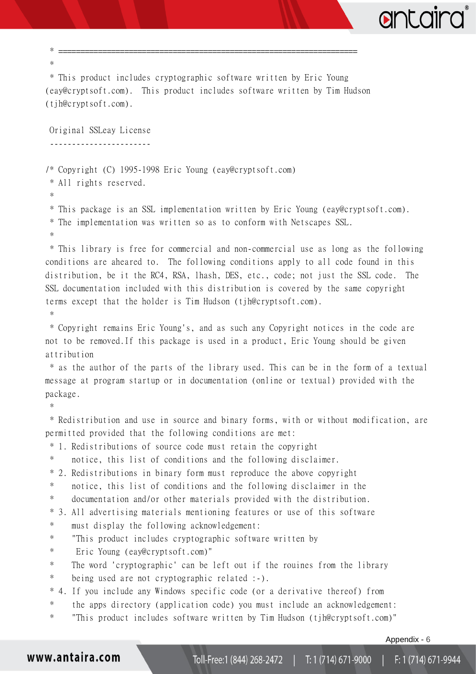| $\ast$                                                                                                                          |
|---------------------------------------------------------------------------------------------------------------------------------|
| * This product includes cryptographic software written by Eric Young                                                            |
| (eay@cryptsoft.com). This product includes software written by Tim Hudson                                                       |
| $(tj)$ h@cryptsoft.com).                                                                                                        |
|                                                                                                                                 |
| Original SSLeay License                                                                                                         |
| <u>.</u>                                                                                                                        |
|                                                                                                                                 |
| /* Copyright (C) 1995-1998 Eric Young (eay@cryptsoft.com)                                                                       |
| * All rights reserved.<br>$\ast$                                                                                                |
| * This package is an SSL implementation written by Eric Young (eay@cryptsoft.com).                                              |
| * The implementation was written so as to conform with Netscapes SSL.                                                           |
| $\ast$                                                                                                                          |
| * This library is free for commercial and non-commercial use as long as the following                                           |
| conditions are aheared to. The following conditions apply to all code found in this                                             |
| distribution, be it the RC4, RSA, lhash, DES, etc., code; not just the SSL code. The                                            |
| SSL documentation included with this distribution is covered by the same copyright                                              |
| terms except that the holder is Tim Hudson (tjh@cryptsoft.com).                                                                 |
| $\ast$                                                                                                                          |
| * Copyright remains Eric Young's, and as such any Copyright notices in the code are                                             |
| not to be removed. If this package is used in a product, Eric Young should be given                                             |
| attribution                                                                                                                     |
| * as the author of the parts of the library used. This can be in the form of a textual                                          |
| message at program startup or in documentation (online or textual) provided with the                                            |
| package.                                                                                                                        |
| $\ast$                                                                                                                          |
| * Redistribution and use in source and binary forms, with or without modification, are                                          |
| permitted provided that the following conditions are met:<br>1. Redistributions of source code must retain the copyright<br>$*$ |
| $\ast$<br>notice, this list of conditions and the following disclaimer.                                                         |
| 2. Redistributions in binary form must reproduce the above copyright<br>$\ast$                                                  |
| $\ast$<br>notice, this list of conditions and the following disclaimer in the                                                   |
| $\ast$<br>documentation and/or other materials provided with the distribution.                                                  |
| 3. All advertising materials mentioning features or use of this software<br>$\ast$                                              |
| $\ast$<br>must display the following acknowledgement:                                                                           |
| $\ast$<br>"This product includes cryptographic software written by                                                              |
| $\ast$<br>Eric Young (eay@cryptsoft.com)"                                                                                       |
| $\ast$<br>The word 'cryptographic' can be left out if the rouines from the library                                              |
| $\ast$<br>being used are not cryptographic related :-).                                                                         |
| $\ast$<br>4. If you include any Windows specific code (or a derivative thereof) from                                            |
| $\ast$<br>the apps directory (application code) you must include an acknowledgement:                                            |
| $\ast$<br>"This product includes software written by Tim Hudson (tjh@cryptsoft.com)"                                            |
| Appendix - 6                                                                                                                    |

Toll-Free:1 (844) 268-2472  $\vert$  F: 1 (714) 671-9944  $|$  T: 1 (714) 671-9000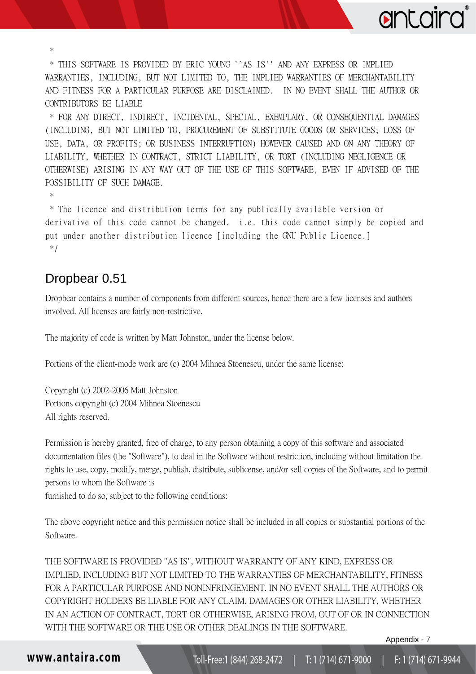\* THIS SOFTWARE IS PROVIDED BY ERIC YOUNG ``AS IS'' AND ANY EXPRESS OR IMPLIED WARRANTIES, INCLUDING, BUT NOT LIMITED TO, THE IMPLIED WARRANTIES OF MERCHANTABILITY AND FITNESS FOR A PARTICULAR PURPOSE ARE DISCLAIMED. IN NO EVENT SHALL THE AUTHOR OR CONTRIBUTORS BE LIABLE

\* FOR ANY DIRECT, INDIRECT, INCIDENTAL, SPECIAL, EXEMPLARY, OR CONSEQUENTIAL DAMAGES (INCLUDING, BUT NOT LIMITED TO, PROCUREMENT OF SUBSTITUTE GOODS OR SERVICES; LOSS OF USE, DATA, OR PROFITS; OR BUSINESS INTERRUPTION) HOWEVER CAUSED AND ON ANY THEORY OF LIABILITY, WHETHER IN CONTRACT, STRICT LIABILITY, OR TORT (INCLUDING NEGLIGENCE OR OTHERWISE) ARISING IN ANY WAY OUT OF THE USE OF THIS SOFTWARE, EVEN IF ADVISED OF THE POSSIBILITY OF SUCH DAMAGE.

\*

\*

\* The licence and distribution terms for any publically available version or derivative of this code cannot be changed. i.e. this code cannot simply be copied and put under another distribution licence [including the GNU Public Licence.] \*/

### <span id="page-8-0"></span>Dropbear 0.51

Dropbear contains a number of components from different sources, hence there are a few licenses and authors involved. All licenses are fairly non-restrictive.

The majority of code is written by Matt Johnston, under the license below.

Portions of the client-mode work are (c) 2004 Mihnea Stoenescu, under the same license:

Copyright (c) 2002-2006 Matt Johnston Portions copyright (c) 2004 Mihnea Stoenescu All rights reserved.

Permission is hereby granted, free of charge, to any person obtaining a copy of this software and associated documentation files (the "Software"), to deal in the Software without restriction, including without limitation the rights to use, copy, modify, merge, publish, distribute, sublicense, and/or sell copies of the Software, and to permit persons to whom the Software is

furnished to do so, subject to the following conditions:

The above copyright notice and this permission notice shall be included in all copies or substantial portions of the Software.

THE SOFTWARE IS PROVIDED "AS IS", WITHOUT WARRANTY OF ANY KIND, EXPRESS OR IMPLIED, INCLUDING BUT NOT LIMITED TO THE WARRANTIES OF MERCHANTABILITY, FITNESS FOR A PARTICULAR PURPOSE AND NONINFRINGEMENT. IN NO EVENT SHALL THE AUTHORS OR COPYRIGHT HOLDERS BE LIABLE FOR ANY CLAIM, DAMAGES OR OTHER LIABILITY, WHETHER IN AN ACTION OF CONTRACT, TORT OR OTHERWISE, ARISING FROM, OUT OF OR IN CONNECTION WITH THE SOFTWARE OR THE USE OR OTHER DEALINGS IN THE SOFTWARE.

Appendix - 7

antaira

www.antaira.com

F: 1 (714) 671-9944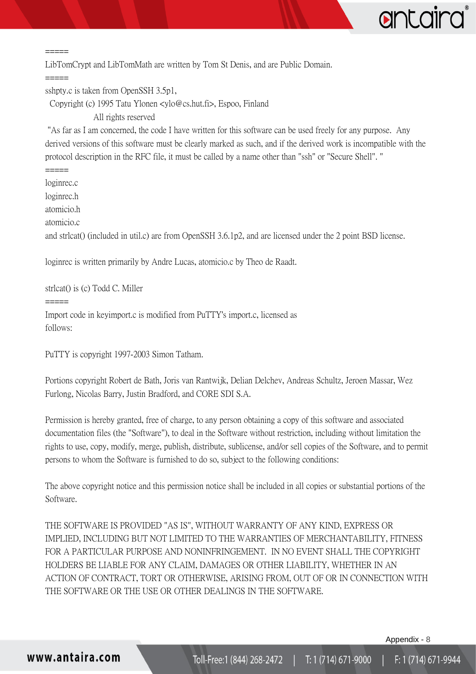

=====

LibTomCrypt and LibTomMath are written by Tom St Denis, and are Public Domain.

=====

=====

sshpty.c is taken from OpenSSH 3.5p1,

Copyright (c) 1995 Tatu Ylonen <ylo@cs.hut.fi>, Espoo, Finland

All rights reserved

"As far as I am concerned, the code I have written for this software can be used freely for any purpose. Any derived versions of this software must be clearly marked as such, and if the derived work is incompatible with the protocol description in the RFC file, it must be called by a name other than "ssh" or "Secure Shell". "

loginrec.c loginrec.h atomicio.h atomicio.c and strlcat() (included in util.c) are from OpenSSH 3.6.1p2, and are licensed under the 2 point BSD license. loginrec is written primarily by Andre Lucas, atomicio.c by Theo de Raadt.

strlcat() is (c) Todd C. Miller

=====

Import code in keyimport.c is modified from PuTTY's import.c, licensed as follows:

PuTTY is copyright 1997-2003 Simon Tatham.

Portions copyright Robert de Bath, Joris van Rantwijk, Delian Delchev, Andreas Schultz, Jeroen Massar, Wez Furlong, Nicolas Barry, Justin Bradford, and CORE SDI S.A.

Permission is hereby granted, free of charge, to any person obtaining a copy of this software and associated documentation files (the "Software"), to deal in the Software without restriction, including without limitation the rights to use, copy, modify, merge, publish, distribute, sublicense, and/or sell copies of the Software, and to permit persons to whom the Software is furnished to do so, subject to the following conditions:

The above copyright notice and this permission notice shall be included in all copies or substantial portions of the Software.

THE SOFTWARE IS PROVIDED "AS IS", WITHOUT WARRANTY OF ANY KIND, EXPRESS OR IMPLIED, INCLUDING BUT NOT LIMITED TO THE WARRANTIES OF MERCHANTABILITY, FITNESS FOR A PARTICULAR PURPOSE AND NONINFRINGEMENT. IN NO EVENT SHALL THE COPYRIGHT HOLDERS BE LIABLE FOR ANY CLAIM, DAMAGES OR OTHER LIABILITY, WHETHER IN AN ACTION OF CONTRACT, TORT OR OTHERWISE, ARISING FROM, OUT OF OR IN CONNECTION WITH THE SOFTWARE OR THE USE OR OTHER DEALINGS IN THE SOFTWARE.

Appendix - 8

### www.antaira.com

Toll-Free:1 (844) 268-2472 | T:1 (714) 671-9000 F: 1 (714) 671-9944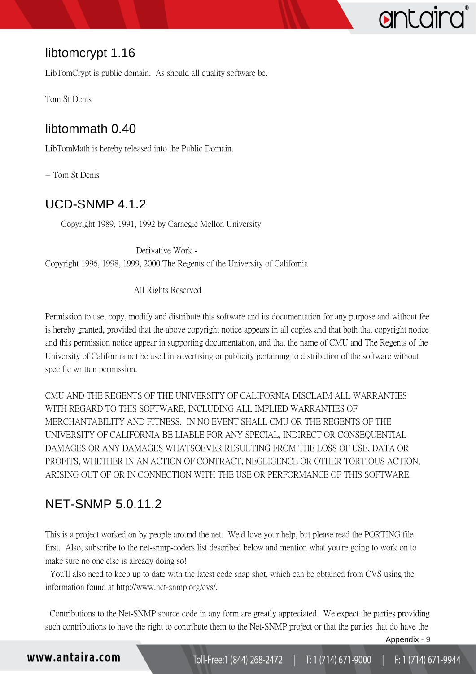# <span id="page-10-0"></span>libtomcrypt 1.16

LibTomCrypt is public domain. As should all quality software be.

<span id="page-10-1"></span>Tom St Denis

## libtommath 0.40

LibTomMath is hereby released into the Public Domain.

<span id="page-10-2"></span>-- Tom St Denis

## UCD-SNMP 4.1.2

Copyright 1989, 1991, 1992 by Carnegie Mellon University

 Derivative Work - Copyright 1996, 1998, 1999, 2000 The Regents of the University of California

All Rights Reserved

Permission to use, copy, modify and distribute this software and its documentation for any purpose and without fee is hereby granted, provided that the above copyright notice appears in all copies and that both that copyright notice and this permission notice appear in supporting documentation, and that the name of CMU and The Regents of the University of California not be used in advertising or publicity pertaining to distribution of the software without specific written permission.

CMU AND THE REGENTS OF THE UNIVERSITY OF CALIFORNIA DISCLAIM ALL WARRANTIES WITH REGARD TO THIS SOFTWARE, INCLUDING ALL IMPLIED WARRANTIES OF MERCHANTABILITY AND FITNESS. IN NO EVENT SHALL CMU OR THE REGENTS OF THE UNIVERSITY OF CALIFORNIA BE LIABLE FOR ANY SPECIAL, INDIRECT OR CONSEQUENTIAL DAMAGES OR ANY DAMAGES WHATSOEVER RESULTING FROM THE LOSS OF USE, DATA OR PROFITS, WHETHER IN AN ACTION OF CONTRACT, NEGLIGENCE OR OTHER TORTIOUS ACTION, ARISING OUT OF OR IN CONNECTION WITH THE USE OR PERFORMANCE OF THIS SOFTWARE.

## <span id="page-10-3"></span>NET-SNMP 5.0.11.2

This is a project worked on by people around the net. We'd love your help, but please read the PORTING file first. Also, subscribe to the net-snmp-coders list described below and mention what you're going to work on to make sure no one else is already doing so!

 You'll also need to keep up to date with the latest code snap shot, which can be obtained from CVS using the information found at http://www.net-snmp.org/cvs/.

 Contributions to the Net-SNMP source code in any form are greatly appreciated. We expect the parties providing such contributions to have the right to contribute them to the Net-SNMP project or that the parties that do have the

Appendix - 9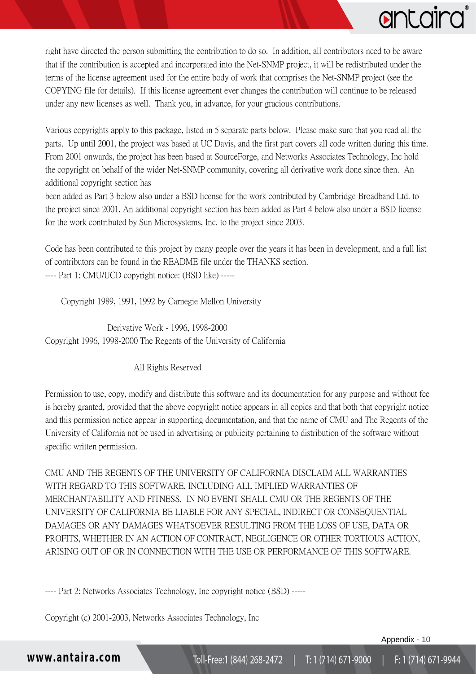

right have directed the person submitting the contribution to do so. In addition, all contributors need to be aware that if the contribution is accepted and incorporated into the Net-SNMP project, it will be redistributed under the terms of the license agreement used for the entire body of work that comprises the Net-SNMP project (see the COPYING file for details). If this license agreement ever changes the contribution will continue to be released under any new licenses as well. Thank you, in advance, for your gracious contributions.

Various copyrights apply to this package, listed in 5 separate parts below. Please make sure that you read all the parts. Up until 2001, the project was based at UC Davis, and the first part covers all code written during this time. From 2001 onwards, the project has been based at SourceForge, and Networks Associates Technology, Inc hold the copyright on behalf of the wider Net-SNMP community, covering all derivative work done since then. An additional copyright section has

been added as Part 3 below also under a BSD license for the work contributed by Cambridge Broadband Ltd. to the project since 2001. An additional copyright section has been added as Part 4 below also under a BSD license for the work contributed by Sun Microsystems, Inc. to the project since 2003.

Code has been contributed to this project by many people over the years it has been in development, and a full list of contributors can be found in the README file under the THANKS section. ---- Part 1: CMU/UCD copyright notice: (BSD like) -----

Copyright 1989, 1991, 1992 by Carnegie Mellon University

 Derivative Work - 1996, 1998-2000 Copyright 1996, 1998-2000 The Regents of the University of California

#### All Rights Reserved

Permission to use, copy, modify and distribute this software and its documentation for any purpose and without fee is hereby granted, provided that the above copyright notice appears in all copies and that both that copyright notice and this permission notice appear in supporting documentation, and that the name of CMU and The Regents of the University of California not be used in advertising or publicity pertaining to distribution of the software without specific written permission.

CMU AND THE REGENTS OF THE UNIVERSITY OF CALIFORNIA DISCLAIM ALL WARRANTIES WITH REGARD TO THIS SOFTWARE, INCLUDING ALL IMPLIED WARRANTIES OF MERCHANTABILITY AND FITNESS. IN NO EVENT SHALL CMU OR THE REGENTS OF THE UNIVERSITY OF CALIFORNIA BE LIABLE FOR ANY SPECIAL, INDIRECT OR CONSEQUENTIAL DAMAGES OR ANY DAMAGES WHATSOEVER RESULTING FROM THE LOSS OF USE, DATA OR PROFITS, WHETHER IN AN ACTION OF CONTRACT, NEGLIGENCE OR OTHER TORTIOUS ACTION, ARISING OUT OF OR IN CONNECTION WITH THE USE OR PERFORMANCE OF THIS SOFTWARE.

---- Part 2: Networks Associates Technology, Inc copyright notice (BSD) -----

Copyright (c) 2001-2003, Networks Associates Technology, Inc

Appendix - 10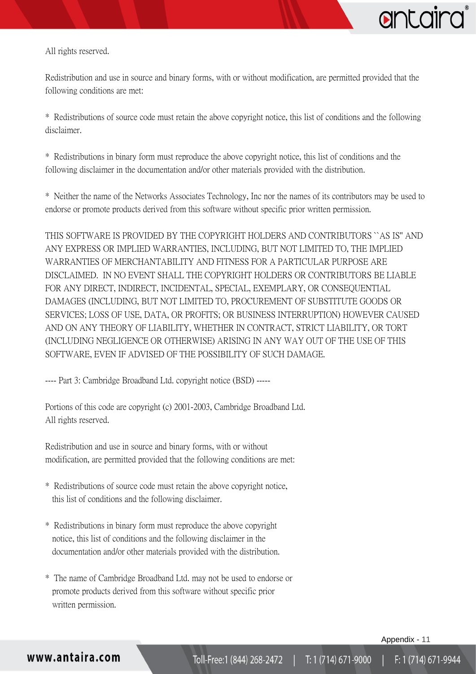

All rights reserved.

Redistribution and use in source and binary forms, with or without modification, are permitted provided that the following conditions are met:

\* Redistributions of source code must retain the above copyright notice, this list of conditions and the following disclaimer.

\* Redistributions in binary form must reproduce the above copyright notice, this list of conditions and the following disclaimer in the documentation and/or other materials provided with the distribution.

\* Neither the name of the Networks Associates Technology, Inc nor the names of its contributors may be used to endorse or promote products derived from this software without specific prior written permission.

THIS SOFTWARE IS PROVIDED BY THE COPYRIGHT HOLDERS AND CONTRIBUTORS ``AS IS'' AND ANY EXPRESS OR IMPLIED WARRANTIES, INCLUDING, BUT NOT LIMITED TO, THE IMPLIED WARRANTIES OF MERCHANTABILITY AND FITNESS FOR A PARTICULAR PURPOSE ARE DISCLAIMED. IN NO EVENT SHALL THE COPYRIGHT HOLDERS OR CONTRIBUTORS BE LIABLE FOR ANY DIRECT, INDIRECT, INCIDENTAL, SPECIAL, EXEMPLARY, OR CONSEQUENTIAL DAMAGES (INCLUDING, BUT NOT LIMITED TO, PROCUREMENT OF SUBSTITUTE GOODS OR SERVICES; LOSS OF USE, DATA, OR PROFITS; OR BUSINESS INTERRUPTION) HOWEVER CAUSED AND ON ANY THEORY OF LIABILITY, WHETHER IN CONTRACT, STRICT LIABILITY, OR TORT (INCLUDING NEGLIGENCE OR OTHERWISE) ARISING IN ANY WAY OUT OF THE USE OF THIS SOFTWARE, EVEN IF ADVISED OF THE POSSIBILITY OF SUCH DAMAGE.

---- Part 3: Cambridge Broadband Ltd. copyright notice (BSD) -----

Portions of this code are copyright (c) 2001-2003, Cambridge Broadband Ltd. All rights reserved.

Redistribution and use in source and binary forms, with or without modification, are permitted provided that the following conditions are met:

- \* Redistributions of source code must retain the above copyright notice, this list of conditions and the following disclaimer.
- \* Redistributions in binary form must reproduce the above copyright notice, this list of conditions and the following disclaimer in the documentation and/or other materials provided with the distribution.
- \* The name of Cambridge Broadband Ltd. may not be used to endorse or promote products derived from this software without specific prior written permission.

Appendix - 11

### www.antaira.com

Toll-Free:1 (844) 268-2472 | T:1 (714) 671-9000 F: 1 (714) 671-9944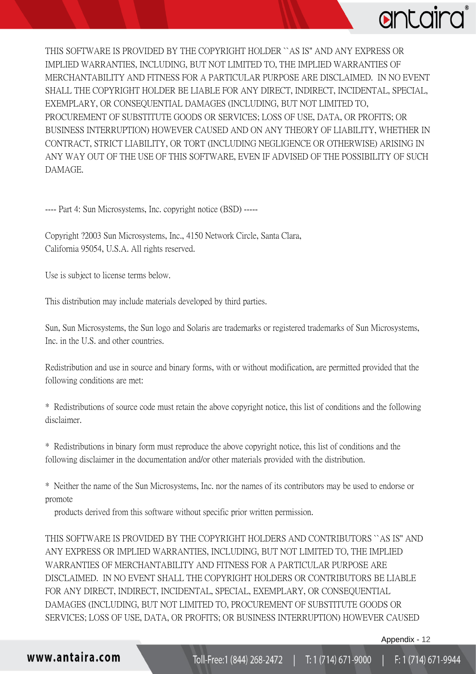

THIS SOFTWARE IS PROVIDED BY THE COPYRIGHT HOLDER ``AS IS'' AND ANY EXPRESS OR IMPLIED WARRANTIES, INCLUDING, BUT NOT LIMITED TO, THE IMPLIED WARRANTIES OF MERCHANTABILITY AND FITNESS FOR A PARTICULAR PURPOSE ARE DISCLAIMED. IN NO EVENT SHALL THE COPYRIGHT HOLDER BE LIABLE FOR ANY DIRECT, INDIRECT, INCIDENTAL, SPECIAL, EXEMPLARY, OR CONSEQUENTIAL DAMAGES (INCLUDING, BUT NOT LIMITED TO, PROCUREMENT OF SUBSTITUTE GOODS OR SERVICES; LOSS OF USE, DATA, OR PROFITS; OR BUSINESS INTERRUPTION) HOWEVER CAUSED AND ON ANY THEORY OF LIABILITY, WHETHER IN CONTRACT, STRICT LIABILITY, OR TORT (INCLUDING NEGLIGENCE OR OTHERWISE) ARISING IN ANY WAY OUT OF THE USE OF THIS SOFTWARE, EVEN IF ADVISED OF THE POSSIBILITY OF SUCH DAMAGE.

---- Part 4: Sun Microsystems, Inc. copyright notice (BSD) -----

Copyright ?2003 Sun Microsystems, Inc., 4150 Network Circle, Santa Clara, California 95054, U.S.A. All rights reserved.

Use is subject to license terms below.

This distribution may include materials developed by third parties.

Sun, Sun Microsystems, the Sun logo and Solaris are trademarks or registered trademarks of Sun Microsystems, Inc. in the U.S. and other countries.

Redistribution and use in source and binary forms, with or without modification, are permitted provided that the following conditions are met:

\* Redistributions of source code must retain the above copyright notice, this list of conditions and the following disclaimer.

\* Redistributions in binary form must reproduce the above copyright notice, this list of conditions and the following disclaimer in the documentation and/or other materials provided with the distribution.

\* Neither the name of the Sun Microsystems, Inc. nor the names of its contributors may be used to endorse or promote

products derived from this software without specific prior written permission.

THIS SOFTWARE IS PROVIDED BY THE COPYRIGHT HOLDERS AND CONTRIBUTORS ``AS IS'' AND ANY EXPRESS OR IMPLIED WARRANTIES, INCLUDING, BUT NOT LIMITED TO, THE IMPLIED WARRANTIES OF MERCHANTABILITY AND FITNESS FOR A PARTICULAR PURPOSE ARE DISCLAIMED. IN NO EVENT SHALL THE COPYRIGHT HOLDERS OR CONTRIBUTORS BE LIABLE FOR ANY DIRECT, INDIRECT, INCIDENTAL, SPECIAL, EXEMPLARY, OR CONSEQUENTIAL DAMAGES (INCLUDING, BUT NOT LIMITED TO, PROCUREMENT OF SUBSTITUTE GOODS OR SERVICES; LOSS OF USE, DATA, OR PROFITS; OR BUSINESS INTERRUPTION) HOWEVER CAUSED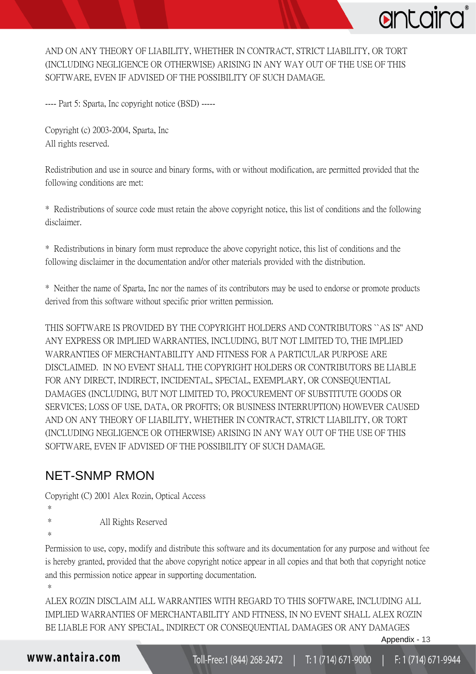AND ON ANY THEORY OF LIABILITY, WHETHER IN CONTRACT, STRICT LIABILITY, OR TORT (INCLUDING NEGLIGENCE OR OTHERWISE) ARISING IN ANY WAY OUT OF THE USE OF THIS SOFTWARE, EVEN IF ADVISED OF THE POSSIBILITY OF SUCH DAMAGE.

---- Part 5: Sparta, Inc copyright notice (BSD) -----

Copyright (c) 2003-2004, Sparta, Inc All rights reserved.

Redistribution and use in source and binary forms, with or without modification, are permitted provided that the following conditions are met:

\* Redistributions of source code must retain the above copyright notice, this list of conditions and the following disclaimer.

\* Redistributions in binary form must reproduce the above copyright notice, this list of conditions and the following disclaimer in the documentation and/or other materials provided with the distribution.

\* Neither the name of Sparta, Inc nor the names of its contributors may be used to endorse or promote products derived from this software without specific prior written permission.

THIS SOFTWARE IS PROVIDED BY THE COPYRIGHT HOLDERS AND CONTRIBUTORS ``AS IS'' AND ANY EXPRESS OR IMPLIED WARRANTIES, INCLUDING, BUT NOT LIMITED TO, THE IMPLIED WARRANTIES OF MERCHANTABILITY AND FITNESS FOR A PARTICULAR PURPOSE ARE DISCLAIMED. IN NO EVENT SHALL THE COPYRIGHT HOLDERS OR CONTRIBUTORS BE LIABLE FOR ANY DIRECT, INDIRECT, INCIDENTAL, SPECIAL, EXEMPLARY, OR CONSEQUENTIAL DAMAGES (INCLUDING, BUT NOT LIMITED TO, PROCUREMENT OF SUBSTITUTE GOODS OR SERVICES; LOSS OF USE, DATA, OR PROFITS; OR BUSINESS INTERRUPTION) HOWEVER CAUSED AND ON ANY THEORY OF LIABILITY, WHETHER IN CONTRACT, STRICT LIABILITY, OR TORT (INCLUDING NEGLIGENCE OR OTHERWISE) ARISING IN ANY WAY OUT OF THE USE OF THIS SOFTWARE, EVEN IF ADVISED OF THE POSSIBILITY OF SUCH DAMAGE.

### <span id="page-14-0"></span>NET-SNMP RMON

Copyright (C) 2001 Alex Rozin, Optical Access

- \*
- \* All Rights Reserved
- \*

\*

Permission to use, copy, modify and distribute this software and its documentation for any purpose and without fee is hereby granted, provided that the above copyright notice appear in all copies and that both that copyright notice and this permission notice appear in supporting documentation.

ALEX ROZIN DISCLAIM ALL WARRANTIES WITH REGARD TO THIS SOFTWARE, INCLUDING ALL IMPLIED WARRANTIES OF MERCHANTABILITY AND FITNESS, IN NO EVENT SHALL ALEX ROZIN BE LIABLE FOR ANY SPECIAL, INDIRECT OR CONSEQUENTIAL DAMAGES OR ANY DAMAGES

```
www.antaira.com
```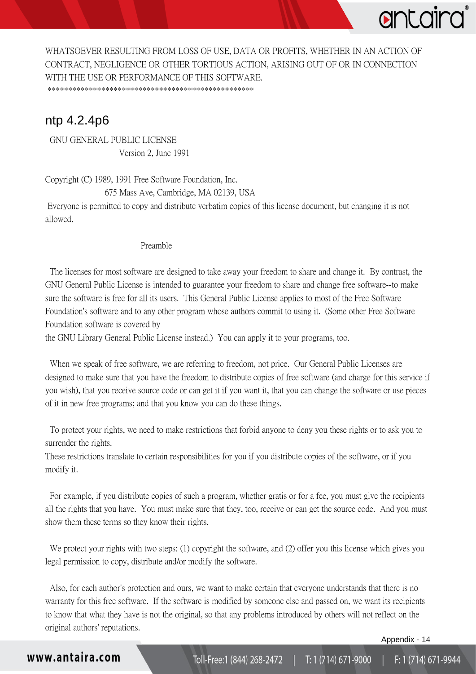

WHATSOEVER RESULTING FROM LOSS OF USE, DATA OR PROFITS, WHETHER IN AN ACTION OF CONTRACT, NEGLIGENCE OR OTHER TORTIOUS ACTION, ARISING OUT OF OR IN CONNECTION WITH THE USE OR PERFORMANCE OF THIS SOFTWARE. \*\*\*\*\*\*\*\*\*\*\*\*\*\*\*\*\*\*\*\*\*\*\*\*\*\*\*\*\*\*\*\*\*\*\*\*\*\*\*\*\*\*\*\*\*\*\*\*\*\*

### <span id="page-15-0"></span>ntp 4.2.4p6

 GNU GENERAL PUBLIC LICENSE Version 2, June 1991

Copyright (C) 1989, 1991 Free Software Foundation, Inc.

675 Mass Ave, Cambridge, MA 02139, USA

Everyone is permitted to copy and distribute verbatim copies of this license document, but changing it is not allowed.

#### Preamble

 The licenses for most software are designed to take away your freedom to share and change it. By contrast, the GNU General Public License is intended to guarantee your freedom to share and change free software--to make sure the software is free for all its users. This General Public License applies to most of the Free Software Foundation's software and to any other program whose authors commit to using it. (Some other Free Software Foundation software is covered by

the GNU Library General Public License instead.) You can apply it to your programs, too.

 When we speak of free software, we are referring to freedom, not price. Our General Public Licenses are designed to make sure that you have the freedom to distribute copies of free software (and charge for this service if you wish), that you receive source code or can get it if you want it, that you can change the software or use pieces of it in new free programs; and that you know you can do these things.

 To protect your rights, we need to make restrictions that forbid anyone to deny you these rights or to ask you to surrender the rights.

These restrictions translate to certain responsibilities for you if you distribute copies of the software, or if you modify it.

 For example, if you distribute copies of such a program, whether gratis or for a fee, you must give the recipients all the rights that you have. You must make sure that they, too, receive or can get the source code. And you must show them these terms so they know their rights.

We protect your rights with two steps: (1) copyright the software, and (2) offer you this license which gives you legal permission to copy, distribute and/or modify the software.

 Also, for each author's protection and ours, we want to make certain that everyone understands that there is no warranty for this free software. If the software is modified by someone else and passed on, we want its recipients to know that what they have is not the original, so that any problems introduced by others will not reflect on the original authors' reputations.

Appendix - 14

### www.antaira.com

Toll-Free:1 (844) 268-2472 | T:1 (714) 671-9000 F: 1 (714) 671-9944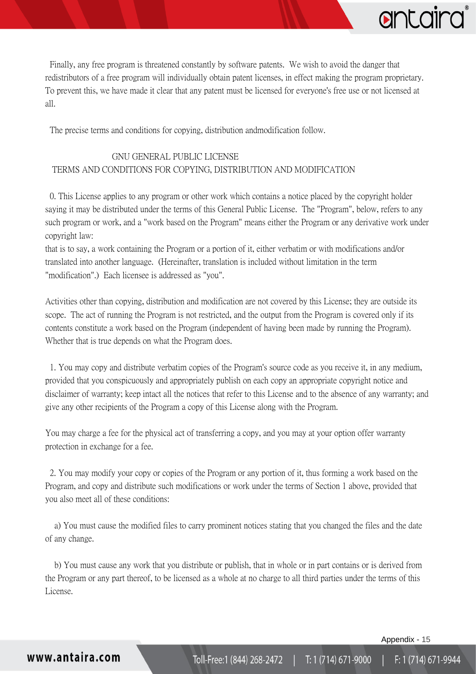

 Finally, any free program is threatened constantly by software patents. We wish to avoid the danger that redistributors of a free program will individually obtain patent licenses, in effect making the program proprietary. To prevent this, we have made it clear that any patent must be licensed for everyone's free use or not licensed at all.

The precise terms and conditions for copying, distribution andmodification follow.

#### GNU GENERAL PUBLIC LICENSE TERMS AND CONDITIONS FOR COPYING, DISTRIBUTION AND MODIFICATION

 0. This License applies to any program or other work which contains a notice placed by the copyright holder saying it may be distributed under the terms of this General Public License. The "Program", below, refers to any such program or work, and a "work based on the Program" means either the Program or any derivative work under copyright law:

that is to say, a work containing the Program or a portion of it, either verbatim or with modifications and/or translated into another language. (Hereinafter, translation is included without limitation in the term "modification".) Each licensee is addressed as "you".

Activities other than copying, distribution and modification are not covered by this License; they are outside its scope. The act of running the Program is not restricted, and the output from the Program is covered only if its contents constitute a work based on the Program (independent of having been made by running the Program). Whether that is true depends on what the Program does.

 1. You may copy and distribute verbatim copies of the Program's source code as you receive it, in any medium, provided that you conspicuously and appropriately publish on each copy an appropriate copyright notice and disclaimer of warranty; keep intact all the notices that refer to this License and to the absence of any warranty; and give any other recipients of the Program a copy of this License along with the Program.

You may charge a fee for the physical act of transferring a copy, and you may at your option offer warranty protection in exchange for a fee.

 2. You may modify your copy or copies of the Program or any portion of it, thus forming a work based on the Program, and copy and distribute such modifications or work under the terms of Section 1 above, provided that you also meet all of these conditions:

 a) You must cause the modified files to carry prominent notices stating that you changed the files and the date of any change.

 b) You must cause any work that you distribute or publish, that in whole or in part contains or is derived from the Program or any part thereof, to be licensed as a whole at no charge to all third parties under the terms of this License.

Appendix - 15

www.antaira.com

Toll-Free:1 (844) 268-2472 | T:1 (714) 671-9000 F: 1 (714) 671-9944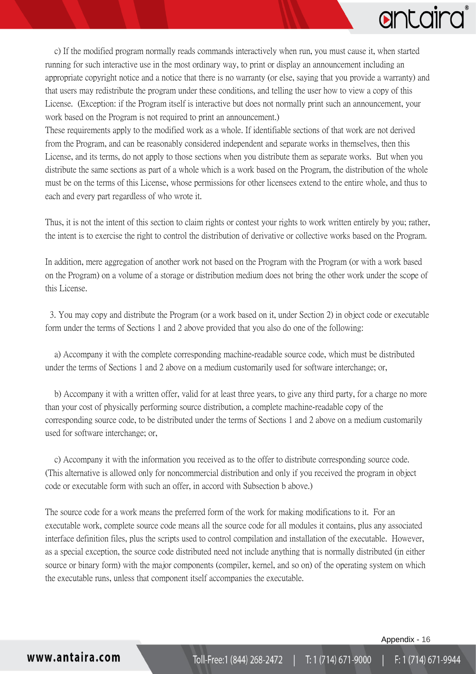

 c) If the modified program normally reads commands interactively when run, you must cause it, when started running for such interactive use in the most ordinary way, to print or display an announcement including an appropriate copyright notice and a notice that there is no warranty (or else, saying that you provide a warranty) and that users may redistribute the program under these conditions, and telling the user how to view a copy of this License. (Exception: if the Program itself is interactive but does not normally print such an announcement, your work based on the Program is not required to print an announcement.)

These requirements apply to the modified work as a whole. If identifiable sections of that work are not derived from the Program, and can be reasonably considered independent and separate works in themselves, then this License, and its terms, do not apply to those sections when you distribute them as separate works. But when you distribute the same sections as part of a whole which is a work based on the Program, the distribution of the whole must be on the terms of this License, whose permissions for other licensees extend to the entire whole, and thus to each and every part regardless of who wrote it.

Thus, it is not the intent of this section to claim rights or contest your rights to work written entirely by you; rather, the intent is to exercise the right to control the distribution of derivative or collective works based on the Program.

In addition, mere aggregation of another work not based on the Program with the Program (or with a work based on the Program) on a volume of a storage or distribution medium does not bring the other work under the scope of this License.

 3. You may copy and distribute the Program (or a work based on it, under Section 2) in object code or executable form under the terms of Sections 1 and 2 above provided that you also do one of the following:

 a) Accompany it with the complete corresponding machine-readable source code, which must be distributed under the terms of Sections 1 and 2 above on a medium customarily used for software interchange; or,

 b) Accompany it with a written offer, valid for at least three years, to give any third party, for a charge no more than your cost of physically performing source distribution, a complete machine-readable copy of the corresponding source code, to be distributed under the terms of Sections 1 and 2 above on a medium customarily used for software interchange; or,

 c) Accompany it with the information you received as to the offer to distribute corresponding source code. (This alternative is allowed only for noncommercial distribution and only if you received the program in object code or executable form with such an offer, in accord with Subsection b above.)

The source code for a work means the preferred form of the work for making modifications to it. For an executable work, complete source code means all the source code for all modules it contains, plus any associated interface definition files, plus the scripts used to control compilation and installation of the executable. However, as a special exception, the source code distributed need not include anything that is normally distributed (in either source or binary form) with the major components (compiler, kernel, and so on) of the operating system on which the executable runs, unless that component itself accompanies the executable.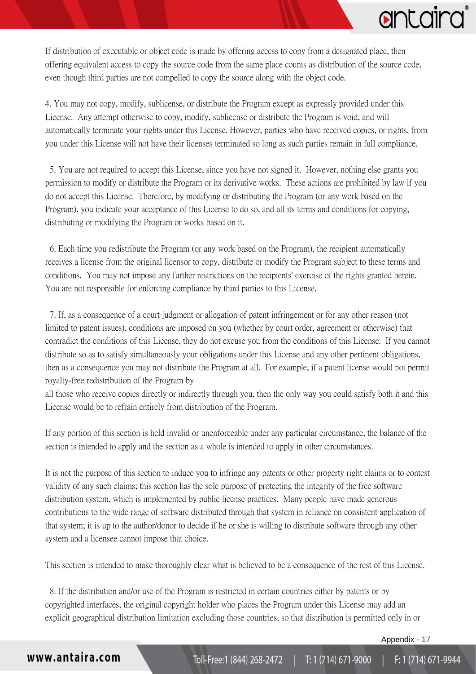If distribution of executable or object code is made by offering access to copy from a designated place, then offering equivalent access to copy the source code from the same place counts as distribution of the source code, even though third parties are not compelled to copy the source along with the object code.

4. You may not copy, modify, sublicense, or distribute the Program except as expressly provided under this License. Any attempt otherwise to copy, modify, sublicense or distribute the Program is void, and will automatically terminate your rights under this License. However, parties who have received copies, or rights, from you under this License will not have their licenses terminated so long as such parties remain in full compliance.

 5. You are not required to accept this License, since you have not signed it. However, nothing else grants you permission to modify or distribute the Program or its derivative works. These actions are prohibited by law if you do not accept this License. Therefore, by modifying or distributing the Program (or any work based on the Program), you indicate your acceptance of this License to do so, and all its terms and conditions for copying, distributing or modifying the Program or works based on it.

 6. Each time you redistribute the Program (or any work based on the Program), the recipient automatically receives a license from the original licensor to copy, distribute or modify the Program subject to these terms and conditions. You may not impose any further restrictions on the recipients' exercise of the rights granted herein. You are not responsible for enforcing compliance by third parties to this License.

 7. If, as a consequence of a court judgment or allegation of patent infringement or for any other reason (not limited to patent issues), conditions are imposed on you (whether by court order, agreement or otherwise) that contradict the conditions of this License, they do not excuse you from the conditions of this License. If you cannot distribute so as to satisfy simultaneously your obligations under this License and any other pertinent obligations, then as a consequence you may not distribute the Program at all. For example, if a patent license would not permit royalty-free redistribution of the Program by

all those who receive copies directly or indirectly through you, then the only way you could satisfy both it and this License would be to refrain entirely from distribution of the Program.

If any portion of this section is held invalid or unenforceable under any particular circumstance, the balance of the section is intended to apply and the section as a whole is intended to apply in other circumstances.

It is not the purpose of this section to induce you to infringe any patents or other property right claims or to contest validity of any such claims; this section has the sole purpose of protecting the integrity of the free software distribution system, which is implemented by public license practices. Many people have made generous contributions to the wide range of software distributed through that system in reliance on consistent application of that system; it is up to the author/donor to decide if he or she is willing to distribute software through any other system and a licensee cannot impose that choice.

This section is intended to make thoroughly clear what is believed to be a consequence of the rest of this License.

 8. If the distribution and/or use of the Program is restricted in certain countries either by patents or by copyrighted interfaces, the original copyright holder who places the Program under this License may add an explicit geographical distribution limitation excluding those countries, so that distribution is permitted only in or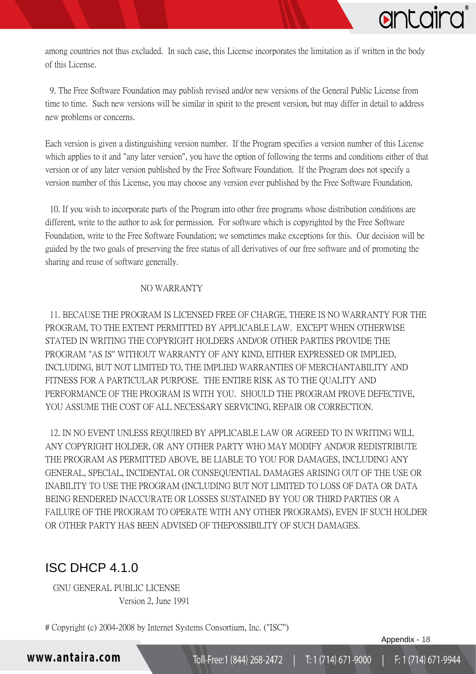

among countries not thus excluded. In such case, this License incorporates the limitation as if written in the body of this License.

 9. The Free Software Foundation may publish revised and/or new versions of the General Public License from time to time. Such new versions will be similar in spirit to the present version, but may differ in detail to address new problems or concerns.

Each version is given a distinguishing version number. If the Program specifies a version number of this License which applies to it and "any later version", you have the option of following the terms and conditions either of that version or of any later version published by the Free Software Foundation. If the Program does not specify a version number of this License, you may choose any version ever published by the Free Software Foundation.

 10. If you wish to incorporate parts of the Program into other free programs whose distribution conditions are different, write to the author to ask for permission. For software which is copyrighted by the Free Software Foundation, write to the Free Software Foundation; we sometimes make exceptions for this. Our decision will be guided by the two goals of preserving the free status of all derivatives of our free software and of promoting the sharing and reuse of software generally.

#### NO WARRANTY

 11. BECAUSE THE PROGRAM IS LICENSED FREE OF CHARGE, THERE IS NO WARRANTY FOR THE PROGRAM, TO THE EXTENT PERMITTED BY APPLICABLE LAW. EXCEPT WHEN OTHERWISE STATED IN WRITING THE COPYRIGHT HOLDERS AND/OR OTHER PARTIES PROVIDE THE PROGRAM "AS IS" WITHOUT WARRANTY OF ANY KIND, EITHER EXPRESSED OR IMPLIED, INCLUDING, BUT NOT LIMITED TO, THE IMPLIED WARRANTIES OF MERCHANTABILITY AND FITNESS FOR A PARTICULAR PURPOSE. THE ENTIRE RISK AS TO THE QUALITY AND PERFORMANCE OF THE PROGRAM IS WITH YOU. SHOULD THE PROGRAM PROVE DEFECTIVE, YOU ASSUME THE COST OF ALL NECESSARY SERVICING, REPAIR OR CORRECTION.

 12. IN NO EVENT UNLESS REQUIRED BY APPLICABLE LAW OR AGREED TO IN WRITING WILL ANY COPYRIGHT HOLDER, OR ANY OTHER PARTY WHO MAY MODIFY AND/OR REDISTRIBUTE THE PROGRAM AS PERMITTED ABOVE, BE LIABLE TO YOU FOR DAMAGES, INCLUDING ANY GENERAL, SPECIAL, INCIDENTAL OR CONSEQUENTIAL DAMAGES ARISING OUT OF THE USE OR INABILITY TO USE THE PROGRAM (INCLUDING BUT NOT LIMITED TO LOSS OF DATA OR DATA BEING RENDERED INACCURATE OR LOSSES SUSTAINED BY YOU OR THIRD PARTIES OR A FAILURE OF THE PROGRAM TO OPERATE WITH ANY OTHER PROGRAMS), EVEN IF SUCH HOLDER OR OTHER PARTY HAS BEEN ADVISED OF THEPOSSIBILITY OF SUCH DAMAGES.

### <span id="page-19-0"></span>ISC DHCP 4.1.0

 GNU GENERAL PUBLIC LICENSE Version 2, June 1991

# Copyright (c) 2004-2008 by Internet Systems Consortium, Inc. ("ISC")

Appendix - 18

www.antaira.com

F: 1 (714) 671-9944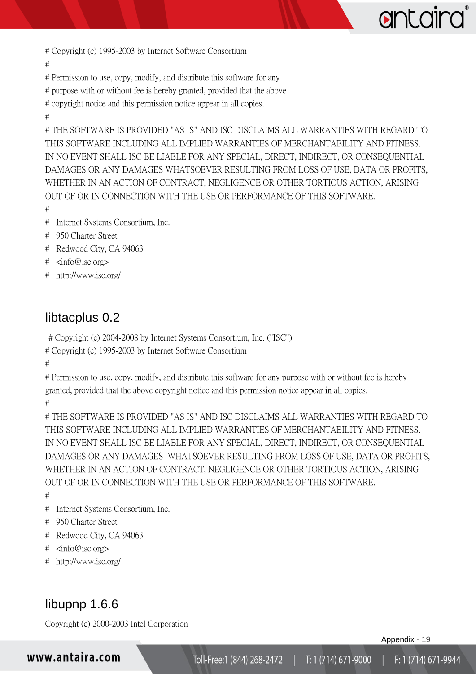

# Copyright (c) 1995-2003 by Internet Software Consortium

#

# Permission to use, copy, modify, and distribute this software for any

# purpose with or without fee is hereby granted, provided that the above

# copyright notice and this permission notice appear in all copies.

#

# THE SOFTWARE IS PROVIDED "AS IS" AND ISC DISCLAIMS ALL WARRANTIES WITH REGARD TO THIS SOFTWARE INCLUDING ALL IMPLIED WARRANTIES OF MERCHANTABILITY AND FITNESS. IN NO EVENT SHALL ISC BE LIABLE FOR ANY SPECIAL, DIRECT, INDIRECT, OR CONSEQUENTIAL DAMAGES OR ANY DAMAGES WHATSOEVER RESULTING FROM LOSS OF USE, DATA OR PROFITS, WHETHER IN AN ACTION OF CONTRACT, NEGLIGENCE OR OTHER TORTIOUS ACTION, ARISING OUT OF OR IN CONNECTION WITH THE USE OR PERFORMANCE OF THIS SOFTWARE.

- #
- # Internet Systems Consortium, Inc.
- # 950 Charter Street
- # Redwood City, CA 94063
- # <info@isc.org>
- # http://www.isc.org/

### <span id="page-20-0"></span>libtacplus 0.2

# Copyright (c) 2004-2008 by Internet Systems Consortium, Inc. ("ISC")

# Copyright (c) 1995-2003 by Internet Software Consortium

#

# Permission to use, copy, modify, and distribute this software for any purpose with or without fee is hereby granted, provided that the above copyright notice and this permission notice appear in all copies. #

# THE SOFTWARE IS PROVIDED "AS IS" AND ISC DISCLAIMS ALL WARRANTIES WITH REGARD TO THIS SOFTWARE INCLUDING ALL IMPLIED WARRANTIES OF MERCHANTABILITY AND FITNESS. IN NO EVENT SHALL ISC BE LIABLE FOR ANY SPECIAL, DIRECT, INDIRECT, OR CONSEQUENTIAL DAMAGES OR ANY DAMAGES WHATSOEVER RESULTING FROM LOSS OF USE, DATA OR PROFITS, WHETHER IN AN ACTION OF CONTRACT, NEGLIGENCE OR OTHER TORTIOUS ACTION, ARISING OUT OF OR IN CONNECTION WITH THE USE OR PERFORMANCE OF THIS SOFTWARE.

#

- # Internet Systems Consortium, Inc.
- # 950 Charter Street
- # Redwood City, CA 94063
- # <info@isc.org>
- # http://www.isc.org/

### <span id="page-20-1"></span>libupnp 1.6.6

Copyright (c) 2000-2003 Intel Corporation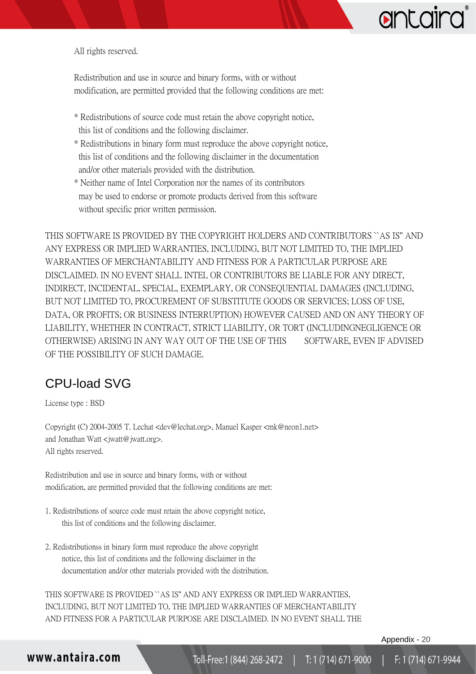All rights reserved.

Redistribution and use in source and binary forms, with or without modification, are permitted provided that the following conditions are met:

- \* Redistributions of source code must retain the above copyright notice, this list of conditions and the following disclaimer.
- \* Redistributions in binary form must reproduce the above copyright notice, this list of conditions and the following disclaimer in the documentation and/or other materials provided with the distribution.
- \* Neither name of Intel Corporation nor the names of its contributors may be used to endorse or promote products derived from this software without specific prior written permission.

THIS SOFTWARE IS PROVIDED BY THE COPYRIGHT HOLDERS AND CONTRIBUTORS ``AS IS'' AND ANY EXPRESS OR IMPLIED WARRANTIES, INCLUDING, BUT NOT LIMITED TO, THE IMPLIED WARRANTIES OF MERCHANTABILITY AND FITNESS FOR A PARTICULAR PURPOSE ARE DISCLAIMED. IN NO EVENT SHALL INTEL OR CONTRIBUTORS BE LIABLE FOR ANY DIRECT, INDIRECT, INCIDENTAL, SPECIAL, EXEMPLARY, OR CONSEQUENTIAL DAMAGES (INCLUDING, BUT NOT LIMITED TO, PROCUREMENT OF SUBSTITUTE GOODS OR SERVICES; LOSS OF USE, DATA, OR PROFITS; OR BUSINESS INTERRUPTION) HOWEVER CAUSED AND ON ANY THEORY OF LIABILITY, WHETHER IN CONTRACT, STRICT LIABILITY, OR TORT (INCLUDINGNEGLIGENCE OR OTHERWISE) ARISING IN ANY WAY OUT OF THE USE OF THIS SOFTWARE, EVEN IF ADVISED OF THE POSSIBILITY OF SUCH DAMAGE.

## <span id="page-21-0"></span>CPU-load SVG

License type : BSD

Copyright (C) 2004-2005 T. Lechat <dev@lechat.org>, Manuel Kasper <mk@neon1.net> and Jonathan Watt <jwatt@jwatt.org>. All rights reserved.

Redistribution and use in source and binary forms, with or without modification, are permitted provided that the following conditions are met:

- 1. Redistributions of source code must retain the above copyright notice, this list of conditions and the following disclaimer.
- 2. Redistributionss in binary form must reproduce the above copyright notice, this list of conditions and the following disclaimer in the documentation and/or other materials provided with the distribution.

THIS SOFTWARE IS PROVIDED ``AS IS'' AND ANY EXPRESS OR IMPLIED WARRANTIES, INCLUDING, BUT NOT LIMITED TO, THE IMPLIED WARRANTIES OF MERCHANTABILITY AND FITNESS FOR A PARTICULAR PURPOSE ARE DISCLAIMED. IN NO EVENT SHALL THE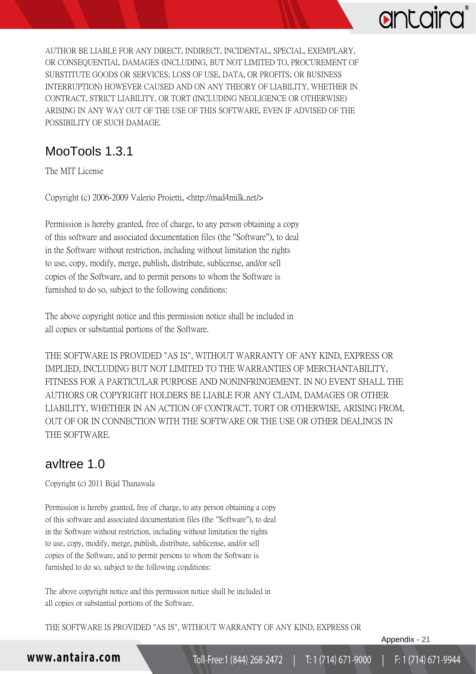# antaird

AUTHOR BE LIABLE FOR ANY DIRECT, INDIRECT, INCIDENTAL, SPECIAL, EXEMPLARY, OR CONSEQUENTIAL DAMAGES (INCLUDING, BUT NOT LIMITED TO, PROCUREMENT OF SUBSTITUTE GOODS OR SERVICES; LOSS OF USE, DATA, OR PROFITS; OR BUSINESS INTERRUPTION) HOWEVER CAUSED AND ON ANY THEORY OF LIABILITY, WHETHER IN CONTRACT, STRICT LIABILITY, OR TORT (INCLUDING NEGLIGENCE OR OTHERWISE) ARISING IN ANY WAY OUT OF THE USE OF THIS SOFTWARE, EVEN IF ADVISED OF THE POSSIBILITY OF SUCH DAMAGE.

## <span id="page-22-0"></span>MooTools 1.3.1

The MIT License

Copyright (c) 2006-2009 Valerio Proietti, <http://mad4milk.net/>

Permission is hereby granted, free of charge, to any person obtaining a copy of this software and associated documentation files (the "Software"), to deal in the Software without restriction, including without limitation the rights to use, copy, modify, merge, publish, distribute, sublicense, and/or sell copies of the Software, and to permit persons to whom the Software is furnished to do so, subject to the following conditions:

The above copyright notice and this permission notice shall be included in all copies or substantial portions of the Software.

THE SOFTWARE IS PROVIDED "AS IS", WITHOUT WARRANTY OF ANY KIND, EXPRESS OR IMPLIED, INCLUDING BUT NOT LIMITED TO THE WARRANTIES OF MERCHANTABILITY, FITNESS FOR A PARTICULAR PURPOSE AND NONINFRINGEMENT. IN NO EVENT SHALL THE AUTHORS OR COPYRIGHT HOLDERS BE LIABLE FOR ANY CLAIM, DAMAGES OR OTHER LIABILITY, WHETHER IN AN ACTION OF CONTRACT, TORT OR OTHERWISE, ARISING FROM, OUT OF OR IN CONNECTION WITH THE SOFTWARE OR THE USE OR OTHER DEALINGS IN THE SOFTWARE.

### <span id="page-22-1"></span>avltree 1.0

Copyright (c) 2011 Bijal Thanawala

Permission is hereby granted, free of charge, to any person obtaining a copy of this software and associated documentation files (the "Software"), to deal in the Software without restriction, including without limitation the rights to use, copy, modify, merge, publish, distribute, sublicense, and/or sell copies of the Software, and to permit persons to whom the Software is furnished to do so, subject to the following conditions:

The above copyright notice and this permission notice shall be included in all copies or substantial portions of the Software.

THE SOFTWARE IS PROVIDED "AS IS", WITHOUT WARRANTY OF ANY KIND, EXPRESS OR

Appendix - 21

### www.antaira.com

F: 1 (714) 671-9944